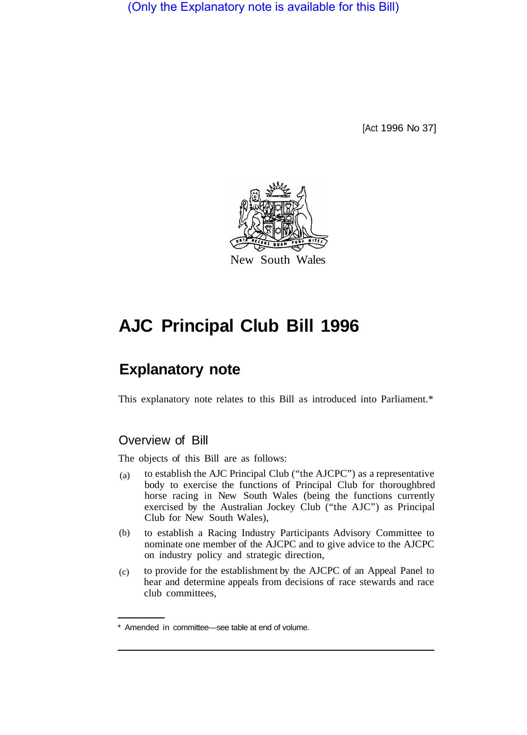(Only the Explanatory note is available for this Bill)

[Act 1996 No 37]



# **AJC Principal Club Bill 1996**

# **Explanatory note**

This explanatory note relates to this Bill as introduced into Parliament.\*

# Overview of Bill

The objects of this Bill are as follows:

- to establish the AJC Principal Club ("the AJCPC") as a representative body to exercise the functions of Principal Club for thoroughbred horse racing in New South Wales (being the functions currently exercised by the Australian Jockey Club ("the AJC") as Principal Club for New South Wales), (a)
- to establish a Racing Industry Participants Advisory Committee to nominate one member of the AJCPC and to give advice to the AJCPC on industry policy and strategic direction, (b)
- to provide for the establishment by the AJCPC of an Appeal Panel to hear and determine appeals from decisions of race stewards and race club committees, (c)

<sup>\*</sup> Amended in committee—see table at end of volume.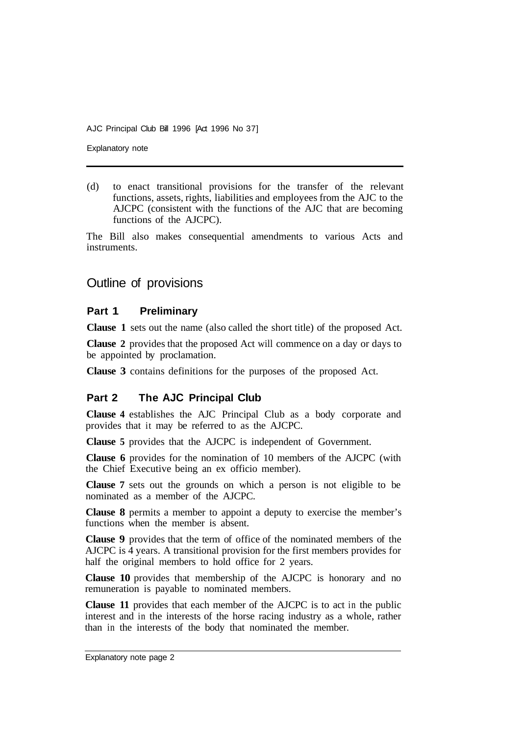Explanatory note

(d) to enact transitional provisions for the transfer of the relevant functions, assets, rights, liabilities and employees from the AJC to the AJCPC (consistent with the functions of the AJC that are becoming functions of the AJCPC).

The Bill also makes consequential amendments to various Acts and instruments.

## Outline of provisions

#### **Part 1 Preliminary**

**Clause 1** sets out the name (also called the short title) of the proposed Act.

**Clause 2** provides that the proposed Act will commence on a day or days to be appointed by proclamation.

**Clause 3** contains definitions for the purposes of the proposed Act.

#### **Part 2 The AJC Principal Club**

**Clause 4** establishes the AJC Principal Club as a body corporate and provides that it may be referred to as the AJCPC.

**Clause 5** provides that the AJCPC is independent of Government.

**Clause 6** provides for the nomination of 10 members of the AJCPC (with the Chief Executive being an ex officio member).

**Clause 7** sets out the grounds on which a person is not eligible to be nominated as a member of the AJCPC.

**Clause 8** permits a member to appoint a deputy to exercise the member's functions when the member is absent.

**Clause 9** provides that the term of office of the nominated members of the AJCPC is 4 years. A transitional provision for the first members provides for half the original members to hold office for 2 years.

**Clause 10** provides that membership of the AJCPC is honorary and no remuneration is payable to nominated members.

**Clause 11** provides that each member of the AJCPC is to act in the public interest and in the interests of the horse racing industry as a whole, rather than in the interests of the body that nominated the member.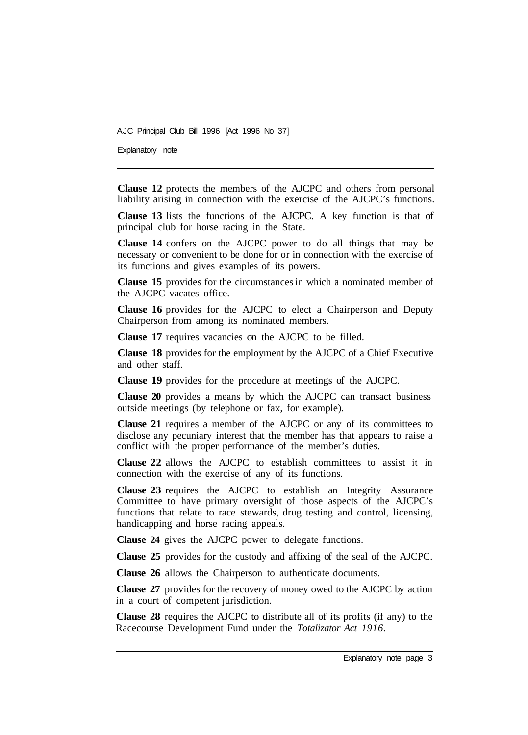Explanatory note

**Clause 12** protects the members of the AJCPC and others from personal liability arising in connection with the exercise of the AJCPC's functions.

**Clause 13** lists the functions of the AJCPC. A key function is that of principal club for horse racing in the State.

**Clause 14** confers on the AJCPC power to do all things that may be necessary or convenient to be done for or in connection with the exercise of its functions and gives examples of its powers.

**Clause 15** provides for the circumstances in which a nominated member of the AJCPC vacates office.

**Clause 16** provides for the AJCPC to elect a Chairperson and Deputy Chairperson from among its nominated members.

**Clause 17** requires vacancies on the AJCPC to be filled.

**Clause 18** provides for the employment by the AJCPC of a Chief Executive and other staff.

**Clause 19** provides for the procedure at meetings of the AJCPC.

**Clause 20** provides a means by which the AJCPC can transact business outside meetings (by telephone or fax, for example).

**Clause 21** requires a member of the AJCPC or any of its committees to disclose any pecuniary interest that the member has that appears to raise a conflict with the proper performance of the member's duties.

**Clause 22** allows the AJCPC to establish committees to assist it in connection with the exercise of any of its functions.

**Clause 23** requires the AJCPC to establish an Integrity Assurance Committee to have primary oversight of those aspects of the AJCPC's functions that relate to race stewards, drug testing and control, licensing, handicapping and horse racing appeals.

**Clause 24** gives the AJCPC power to delegate functions.

**Clause 25** provides for the custody and affixing of the seal of the AJCPC.

**Clause 26** allows the Chairperson to authenticate documents.

**Clause 27** provides for the recovery of money owed to the AJCPC by action in a court of competent jurisdiction.

**Clause 28** requires the AJCPC to distribute all of its profits (if any) to the Racecourse Development Fund under the *Totalizator Act 1916.*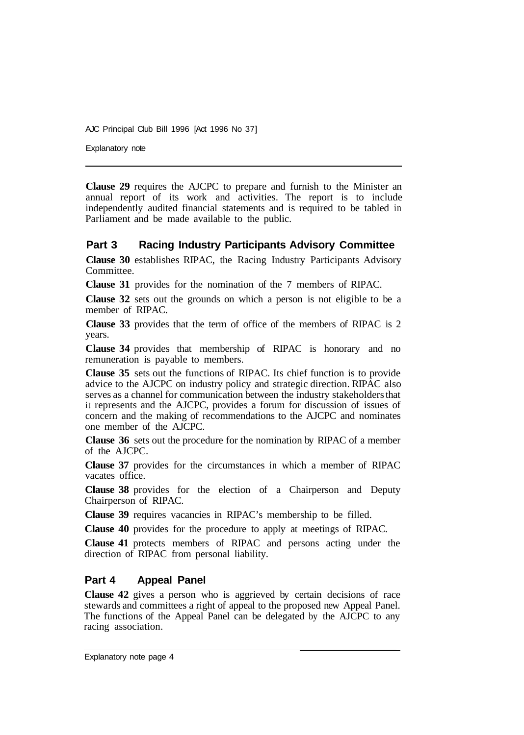Explanatory note

**Clause 29** requires the AJCPC to prepare and furnish to the Minister an annual report of its work and activities. The report is to include independently audited financial statements and is required to be tabled in Parliament and be made available to the public.

#### **Part 3 Racing Industry Participants Advisory Committee**

**Clause 30** establishes RIPAC, the Racing Industry Participants Advisory Committee.

**Clause 31** provides for the nomination of the 7 members of RIPAC.

**Clause 32** sets out the grounds on which a person is not eligible to be a member of RIPAC.

**Clause 33** provides that the term of office of the members of RIPAC is 2 years.

**Clause 34** provides that membership of RIPAC is honorary and no remuneration is payable to members.

**Clause 35** sets out the functions of RIPAC. Its chief function is to provide advice to the AJCPC on industry policy and strategic direction. RIPAC also serves as a channel for communication between the industry stakeholders that it represents and the AJCPC, provides a forum for discussion of issues of concern and the making of recommendations to the AJCPC and nominates one member of the AJCPC.

**Clause 36** sets out the procedure for the nomination by RIPAC of a member of the AJCPC.

**Clause 37** provides for the circumstances in which a member of RIPAC vacates office.

**Clause 38** provides for the election of a Chairperson and Deputy Chairperson of RIPAC.

**Clause 39** requires vacancies in RIPAC's membership to be filled.

**Clause 40** provides for the procedure to apply at meetings of RIPAC.

**Clause 41** protects members of RIPAC and persons acting under the direction of RIPAC from personal liability.

#### **Part 4 Appeal Panel**

**Clause 42** gives a person who is aggrieved by certain decisions of race stewards and committees a right of appeal to the proposed new Appeal Panel. The functions of the Appeal Panel can be delegated by the AJCPC to any racing association.